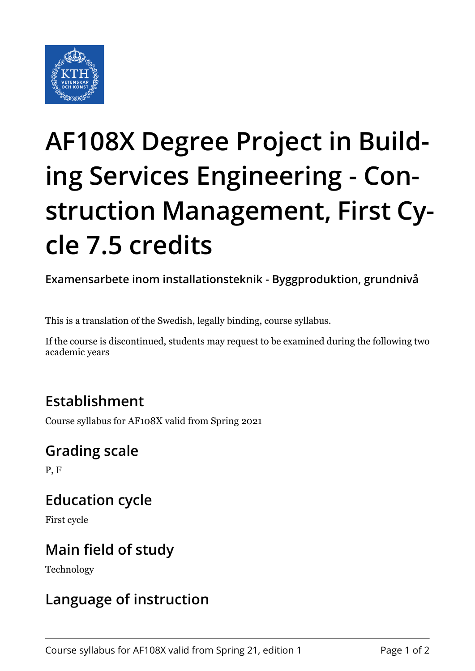

# **AF108X Degree Project in Building Services Engineering - Construction Management, First Cycle 7.5 credits**

**Examensarbete inom installationsteknik - Byggproduktion, grundnivå**

This is a translation of the Swedish, legally binding, course syllabus.

If the course is discontinued, students may request to be examined during the following two academic years

### **Establishment**

Course syllabus for AF108X valid from Spring 2021

### **Grading scale**

P, F

## **Education cycle**

First cycle

### **Main field of study**

Technology

## **Language of instruction**